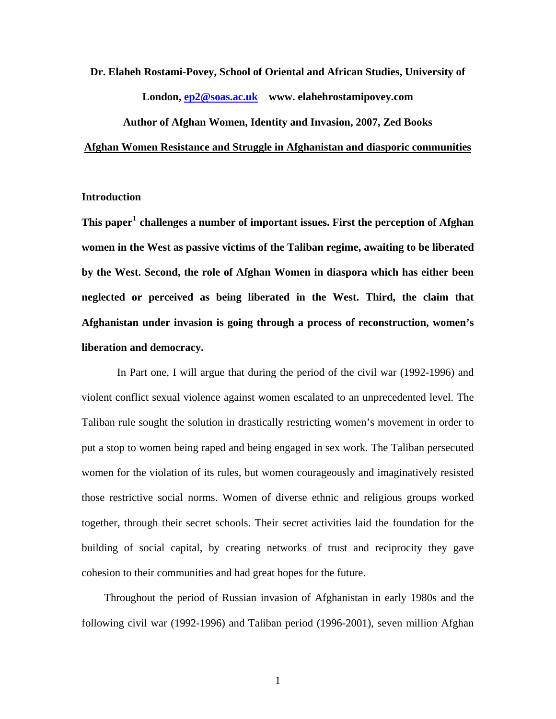# **Dr. Elaheh Rostami-Povey, School of Oriental and African Studies, University of London, [ep2@soas.ac.uk](mailto:ep2@soas.ac.uk) www. elahehrostamipovey.com Author of Afghan Women, Identity and Invasion, 2007, Zed Books**

#### **Afghan Women Resistance and Struggle in Afghanistan and diasporic communities**

### **Introduction**

**This paper[1](#page-22-0) challenges a number of important issues. First the perception of Afghan women in the West as passive victims of the Taliban regime, awaiting to be liberated by the West. Second, the role of Afghan Women in diaspora which has either been neglected or perceived as being liberated in the West. Third, the claim that Afghanistan under invasion is going through a process of reconstruction, women's liberation and democracy.** 

 In Part one, I will argue that during the period of the civil war (1992-1996) and violent conflict sexual violence against women escalated to an unprecedented level. The Taliban rule sought the solution in drastically restricting women's movement in order to put a stop to women being raped and being engaged in sex work. The Taliban persecuted women for the violation of its rules, but women courageously and imaginatively resisted those restrictive social norms. Women of diverse ethnic and religious groups worked together, through their secret schools. Their secret activities laid the foundation for the building of social capital, by creating networks of trust and reciprocity they gave cohesion to their communities and had great hopes for the future.

Throughout the period of Russian invasion of Afghanistan in early 1980s and the following civil war (1992-1996) and Taliban period (1996-2001), seven million Afghan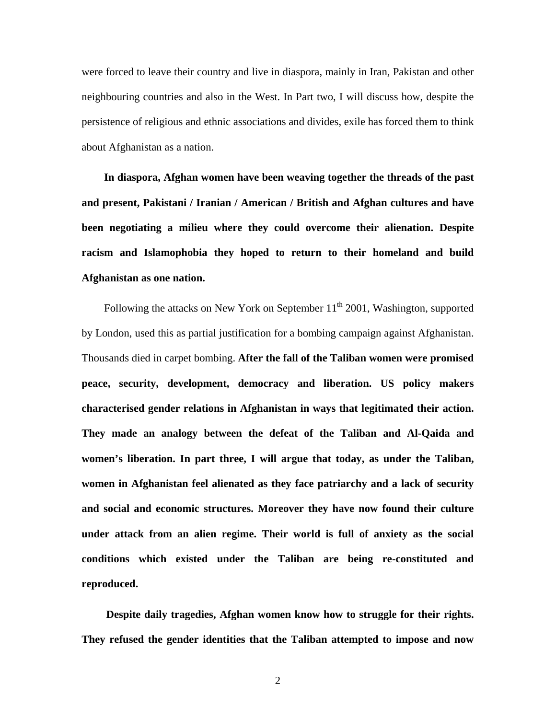were forced to leave their country and live in diaspora, mainly in Iran, Pakistan and other neighbouring countries and also in the West. In Part two, I will discuss how, despite the persistence of religious and ethnic associations and divides, exile has forced them to think about Afghanistan as a nation.

**In diaspora, Afghan women have been weaving together the threads of the past and present, Pakistani / Iranian / American / British and Afghan cultures and have been negotiating a milieu where they could overcome their alienation. Despite racism and Islamophobia they hoped to return to their homeland and build Afghanistan as one nation.** 

Following the attacks on New York on September  $11<sup>th</sup>$  2001, Washington, supported by London, used this as partial justification for a bombing campaign against Afghanistan. Thousands died in carpet bombing. **After the fall of the Taliban women were promised peace, security, development, democracy and liberation. US policy makers characterised gender relations in Afghanistan in ways that legitimated their action. They made an analogy between the defeat of the Taliban and Al-Qaida and women's liberation. In part three, I will argue that today, as under the Taliban, women in Afghanistan feel alienated as they face patriarchy and a lack of security and social and economic structures. Moreover they have now found their culture under attack from an alien regime. Their world is full of anxiety as the social conditions which existed under the Taliban are being re-constituted and reproduced.** 

**Despite daily tragedies, Afghan women know how to struggle for their rights. They refused the gender identities that the Taliban attempted to impose and now**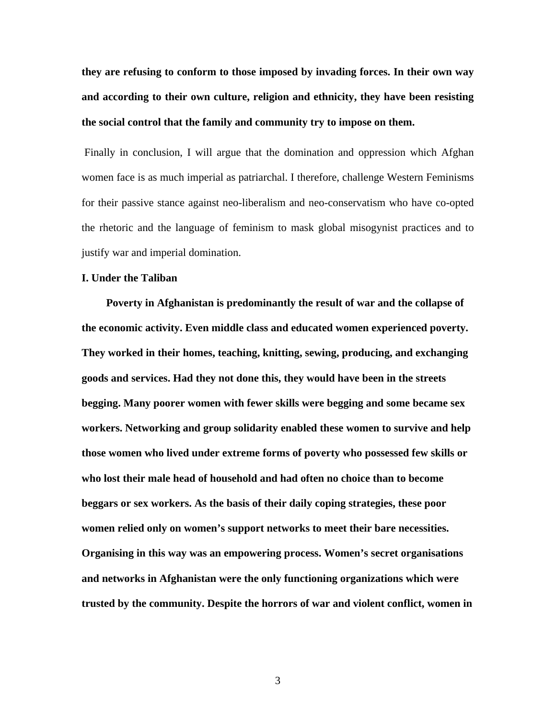**they are refusing to conform to those imposed by invading forces. In their own way and according to their own culture, religion and ethnicity, they have been resisting the social control that the family and community try to impose on them.** 

 Finally in conclusion, I will argue that the domination and oppression which Afghan women face is as much imperial as patriarchal. I therefore, challenge Western Feminisms for their passive stance against neo-liberalism and neo-conservatism who have co-opted the rhetoric and the language of feminism to mask global misogynist practices and to justify war and imperial domination.

#### **I. Under the Taliban**

**Poverty in Afghanistan is predominantly the result of war and the collapse of the economic activity. Even middle class and educated women experienced poverty. They worked in their homes, teaching, knitting, sewing, producing, and exchanging goods and services. Had they not done this, they would have been in the streets begging. Many poorer women with fewer skills were begging and some became sex workers. Networking and group solidarity enabled these women to survive and help those women who lived under extreme forms of poverty who possessed few skills or who lost their male head of household and had often no choice than to become beggars or sex workers. As the basis of their daily coping strategies, these poor women relied only on women's support networks to meet their bare necessities. Organising in this way was an empowering process. Women's secret organisations and networks in Afghanistan were the only functioning organizations which were trusted by the community. Despite the horrors of war and violent conflict, women in**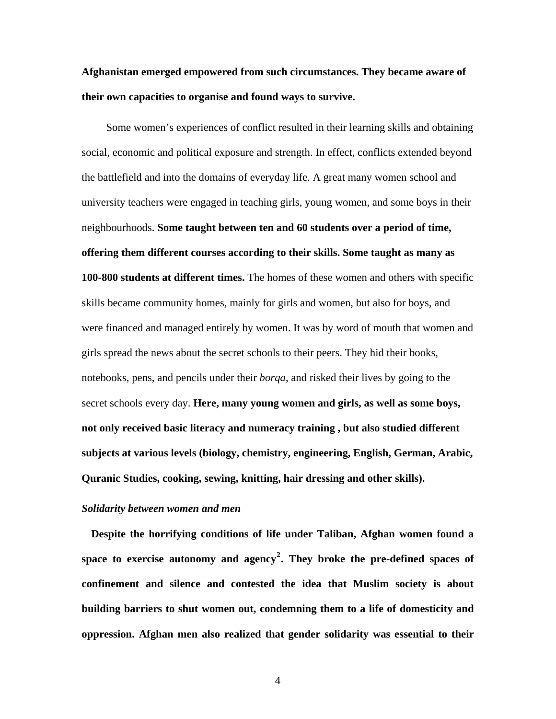# **Afghanistan emerged empowered from such circumstances. They became aware of their own capacities to organise and found ways to survive.**

Some women's experiences of conflict resulted in their learning skills and obtaining social, economic and political exposure and strength. In effect, conflicts extended beyond the battlefield and into the domains of everyday life. A great many women school and university teachers were engaged in teaching girls, young women, and some boys in their neighbourhoods. **Some taught between ten and 60 students over a period of time, offering them different courses according to their skills. Some taught as many as 100-800 students at different times.** The homes of these women and others with specific skills became community homes, mainly for girls and women, but also for boys, and were financed and managed entirely by women. It was by word of mouth that women and girls spread the news about the secret schools to their peers. They hid their books, notebooks, pens, and pencils under their *borqa*, and risked their lives by going to the secret schools every day. **Here, many young women and girls, as well as some boys, not only received basic literacy and numeracy training , but also studied different subjects at various levels (biology, chemistry, engineering, English, German, Arabic, Quranic Studies, cooking, sewing, knitting, hair dressing and other skills).** 

#### *Solidarity between women and men*

**Despite the horrifying conditions of life under Taliban, Afghan women found a space to exercise autonomy and agency[2](#page-22-1) . They broke the pre-defined spaces of confinement and silence and contested the idea that Muslim society is about building barriers to shut women out, condemning them to a life of domesticity and oppression. Afghan men also realized that gender solidarity was essential to their**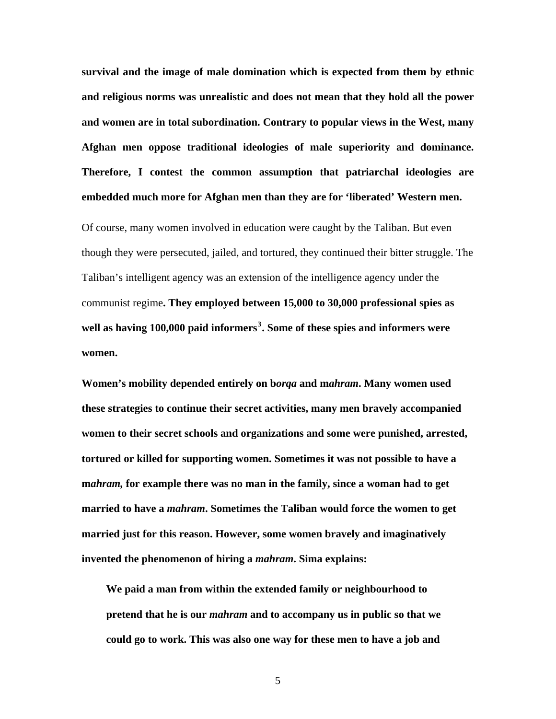**survival and the image of male domination which is expected from them by ethnic and religious norms was unrealistic and does not mean that they hold all the power and women are in total subordination. Contrary to popular views in the West, many Afghan men oppose traditional ideologies of male superiority and dominance. Therefore, I contest the common assumption that patriarchal ideologies are embedded much more for Afghan men than they are for 'liberated' Western men.** 

Of course, many women involved in education were caught by the Taliban. But even though they were persecuted, jailed, and tortured, they continued their bitter struggle. The Taliban's intelligent agency was an extension of the intelligence agency under the communist regime**. They employed between 15,000 to 30,000 professional spies as well as having 100,000 paid informers[3](#page-22-1) . Some of these spies and informers were women.** 

**Women's mobility depended entirely on b***orqa* **and m***ahram***. Many women used these strategies to continue their secret activities, many men bravely accompanied women to their secret schools and organizations and some were punished, arrested, tortured or killed for supporting women. Sometimes it was not possible to have a m***ahram,* **for example there was no man in the family, since a woman had to get married to have a** *mahram***. Sometimes the Taliban would force the women to get married just for this reason. However, some women bravely and imaginatively invented the phenomenon of hiring a** *mahram***. Sima explains:** 

**We paid a man from within the extended family or neighbourhood to pretend that he is our** *mahram* **and to accompany us in public so that we could go to work. This was also one way for these men to have a job and**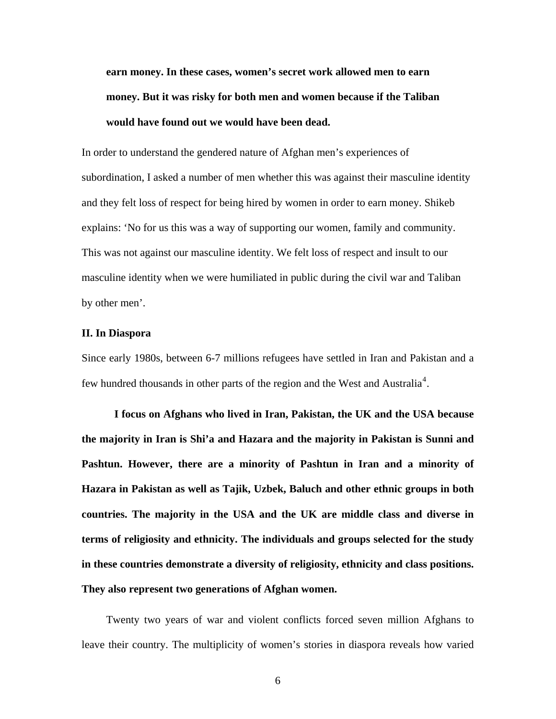**earn money. In these cases, women's secret work allowed men to earn money. But it was risky for both men and women because if the Taliban would have found out we would have been dead.** 

In order to understand the gendered nature of Afghan men's experiences of subordination, I asked a number of men whether this was against their masculine identity and they felt loss of respect for being hired by women in order to earn money. Shikeb explains: 'No for us this was a way of supporting our women, family and community. This was not against our masculine identity. We felt loss of respect and insult to our masculine identity when we were humiliated in public during the civil war and Taliban by other men'.

#### **II. In Diaspora**

Since early 1980s, between 6-7 millions refugees have settled in Iran and Pakistan and a few hundred thousands in other parts of the region and the West and Australia<sup>[4](#page-22-1)</sup>.

**I focus on Afghans who lived in Iran, Pakistan, the UK and the USA because the majority in Iran is Shi'a and Hazara and the majority in Pakistan is Sunni and Pashtun. However, there are a minority of Pashtun in Iran and a minority of Hazara in Pakistan as well as Tajik, Uzbek, Baluch and other ethnic groups in both countries. The majority in the USA and the UK are middle class and diverse in terms of religiosity and ethnicity. The individuals and groups selected for the study in these countries demonstrate a diversity of religiosity, ethnicity and class positions. They also represent two generations of Afghan women.** 

Twenty two years of war and violent conflicts forced seven million Afghans to leave their country. The multiplicity of women's stories in diaspora reveals how varied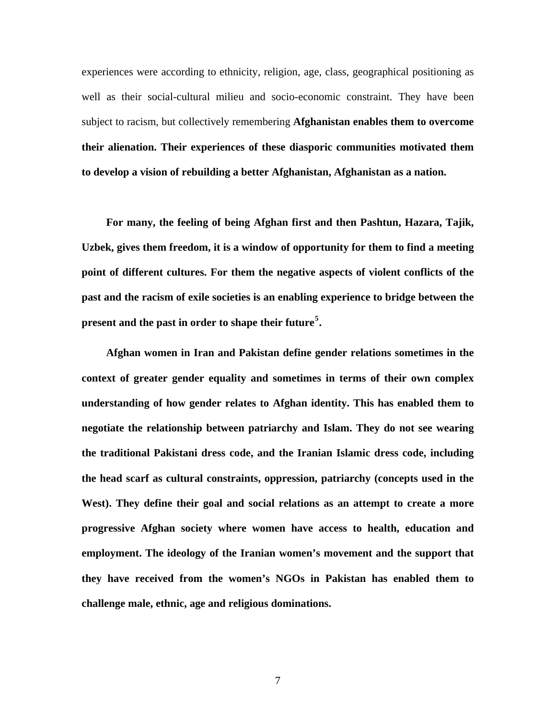experiences were according to ethnicity, religion, age, class, geographical positioning as well as their social-cultural milieu and socio-economic constraint. They have been subject to racism, but collectively remembering **Afghanistan enables them to overcome their alienation. Their experiences of these diasporic communities motivated them to develop a vision of rebuilding a better Afghanistan, Afghanistan as a nation.** 

**For many, the feeling of being Afghan first and then Pashtun, Hazara, Tajik, Uzbek, gives them freedom, it is a window of opportunity for them to find a meeting point of different cultures. For them the negative aspects of violent conflicts of the past and the racism of exile societies is an enabling experience to bridge between the present and the past in order to shape their future[5](#page-22-1) .** 

**Afghan women in Iran and Pakistan define gender relations sometimes in the context of greater gender equality and sometimes in terms of their own complex understanding of how gender relates to Afghan identity. This has enabled them to negotiate the relationship between patriarchy and Islam. They do not see wearing the traditional Pakistani dress code, and the Iranian Islamic dress code, including the head scarf as cultural constraints, oppression, patriarchy (concepts used in the West). They define their goal and social relations as an attempt to create a more progressive Afghan society where women have access to health, education and employment. The ideology of the Iranian women's movement and the support that they have received from the women's NGOs in Pakistan has enabled them to challenge male, ethnic, age and religious dominations.**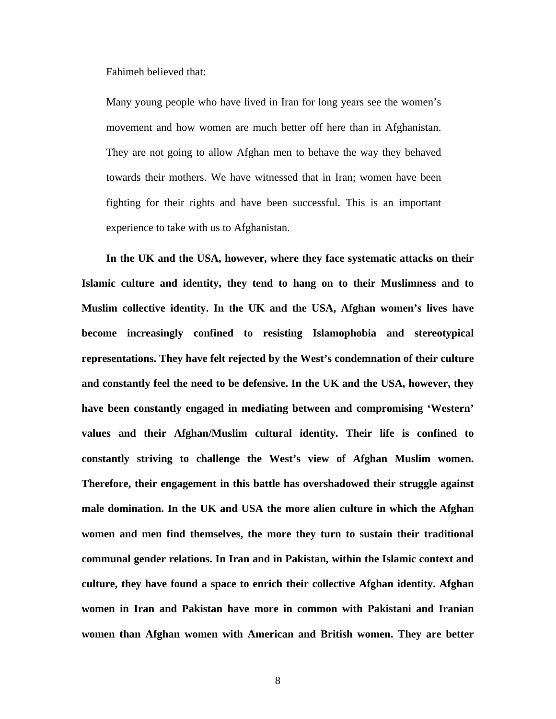Fahimeh believed that:

Many young people who have lived in Iran for long years see the women's movement and how women are much better off here than in Afghanistan. They are not going to allow Afghan men to behave the way they behaved towards their mothers. We have witnessed that in Iran; women have been fighting for their rights and have been successful. This is an important experience to take with us to Afghanistan.

**In the UK and the USA, however, where they face systematic attacks on their Islamic culture and identity, they tend to hang on to their Muslimness and to Muslim collective identity. In the UK and the USA, Afghan women's lives have become increasingly confined to resisting Islamophobia and stereotypical representations. They have felt rejected by the West's condemnation of their culture and constantly feel the need to be defensive. In the UK and the USA, however, they have been constantly engaged in mediating between and compromising 'Western' values and their Afghan/Muslim cultural identity. Their life is confined to constantly striving to challenge the West's view of Afghan Muslim women. Therefore, their engagement in this battle has overshadowed their struggle against male domination. In the UK and USA the more alien culture in which the Afghan women and men find themselves, the more they turn to sustain their traditional communal gender relations. In Iran and in Pakistan, within the Islamic context and culture, they have found a space to enrich their collective Afghan identity. Afghan women in Iran and Pakistan have more in common with Pakistani and Iranian women than Afghan women with American and British women. They are better**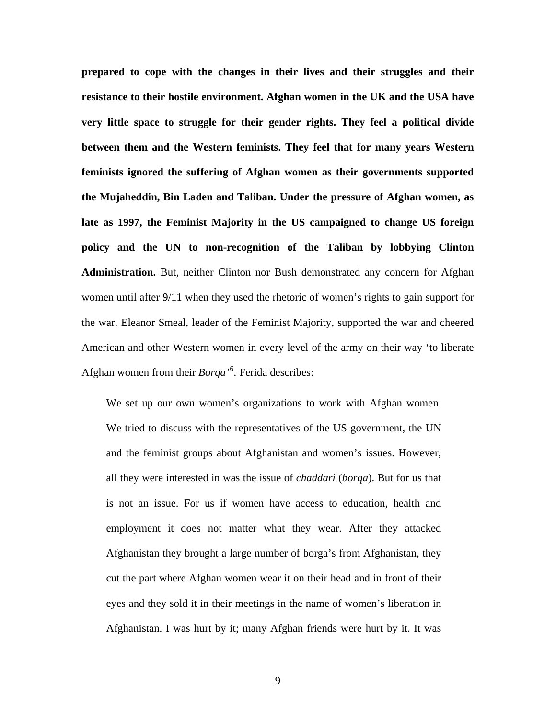**prepared to cope with the changes in their lives and their struggles and their resistance to their hostile environment. Afghan women in the UK and the USA have very little space to struggle for their gender rights. They feel a political divide between them and the Western feminists. They feel that for many years Western feminists ignored the suffering of Afghan women as their governments supported the Mujaheddin, Bin Laden and Taliban. Under the pressure of Afghan women, as late as 1997, the Feminist Majority in the US campaigned to change US foreign policy and the UN to non-recognition of the Taliban by lobbying Clinton Administration.** But, neither Clinton nor Bush demonstrated any concern for Afghan women until after 9/11 when they used the rhetoric of women's rights to gain support for the war. Eleanor Smeal, leader of the Feminist Majority, supported the war and cheered American and other Western women in every level of the army on their way 'to liberate Afghan women from their *Borqa'*[6](#page-22-1) *.* Ferida describes:

We set up our own women's organizations to work with Afghan women. We tried to discuss with the representatives of the US government, the UN and the feminist groups about Afghanistan and women's issues. However, all they were interested in was the issue of *chaddari* (*borqa*). But for us that is not an issue. For us if women have access to education, health and employment it does not matter what they wear. After they attacked Afghanistan they brought a large number of borga's from Afghanistan, they cut the part where Afghan women wear it on their head and in front of their eyes and they sold it in their meetings in the name of women's liberation in Afghanistan. I was hurt by it; many Afghan friends were hurt by it. It was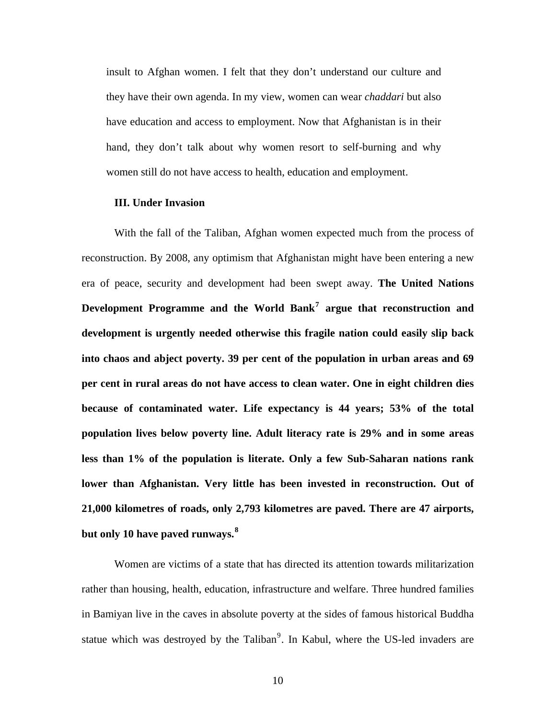insult to Afghan women. I felt that they don't understand our culture and they have their own agenda. In my view, women can wear *chaddari* but also have education and access to employment. Now that Afghanistan is in their hand, they don't talk about why women resort to self-burning and why women still do not have access to health, education and employment.

#### **III. Under Invasion**

With the fall of the Taliban, Afghan women expected much from the process of reconstruction. By 2008, any optimism that Afghanistan might have been entering a new era of peace, security and development had been swept away. **The United Nations Development Programme and the World Bank[7](#page-22-1) argue that reconstruction and development is urgently needed otherwise this fragile nation could easily slip back into chaos and abject poverty. 39 per cent of the population in urban areas and 69 per cent in rural areas do not have access to clean water. One in eight children dies because of contaminated water. Life expectancy is 44 years; 53% of the total population lives below poverty line. Adult literacy rate is 29% and in some areas less than 1% of the population is literate. Only a few Sub-Saharan nations rank lower than Afghanistan. Very little has been invested in reconstruction. Out of 21,000 kilometres of roads, only 2,793 kilometres are paved. There are 47 airports, but only 10 have paved runways.[8](#page-22-1)**

Women are victims of a state that has directed its attention towards militarization rather than housing, health, education, infrastructure and welfare. Three hundred families in Bamiyan live in the caves in absolute poverty at the sides of famous historical Buddha statue which was destroyed by the Taliban<sup>[9](#page-22-1)</sup>. In Kabul, where the US-led invaders are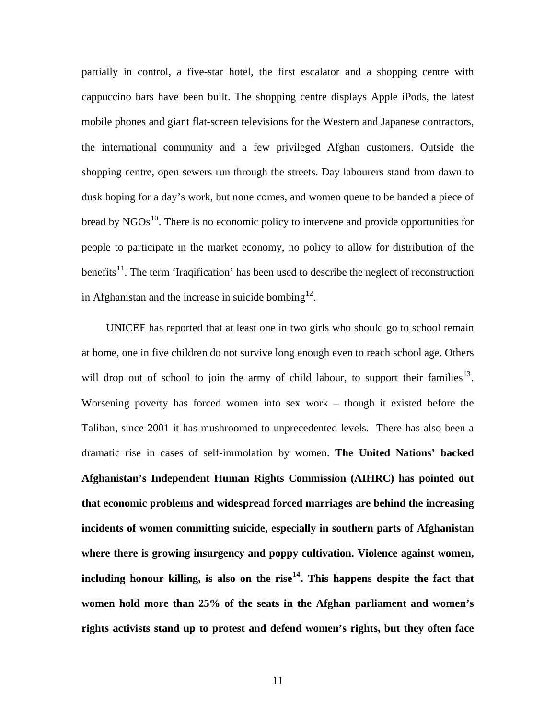partially in control, a five-star hotel, the first escalator and a shopping centre with cappuccino bars have been built. The shopping centre displays Apple iPods, the latest mobile phones and giant flat-screen televisions for the Western and Japanese contractors, the international community and a few privileged Afghan customers. Outside the shopping centre, open sewers run through the streets. Day labourers stand from dawn to dusk hoping for a day's work, but none comes, and women queue to be handed a piece of bread by  $NGOs<sup>10</sup>$  $NGOs<sup>10</sup>$  $NGOs<sup>10</sup>$ . There is no economic policy to intervene and provide opportunities for people to participate in the market economy, no policy to allow for distribution of the benefits<sup>[11](#page-22-1)</sup>. The term 'Iraqification' has been used to describe the neglect of reconstruction in Afghanistan and the increase in suicide bombing<sup>[12](#page-22-1)</sup>.

UNICEF has reported that at least one in two girls who should go to school remain at home, one in five children do not survive long enough even to reach school age. Others will drop out of school to join the army of child labour, to support their families<sup>[13](#page-22-1)</sup>. Worsening poverty has forced women into sex work – though it existed before the Taliban, since 2001 it has mushroomed to unprecedented levels. There has also been a dramatic rise in cases of self-immolation by women. **The United Nations' backed Afghanistan's Independent Human Rights Commission (AIHRC) has pointed out that economic problems and widespread forced marriages are behind the increasing incidents of women committing suicide, especially in southern parts of Afghanistan where there is growing insurgency and poppy cultivation. Violence against women,**  including honour killing, is also on the rise<sup> $14$ </sup>. This happens despite the fact that **women hold more than 25% of the seats in the Afghan parliament and women's rights activists stand up to protest and defend women's rights, but they often face**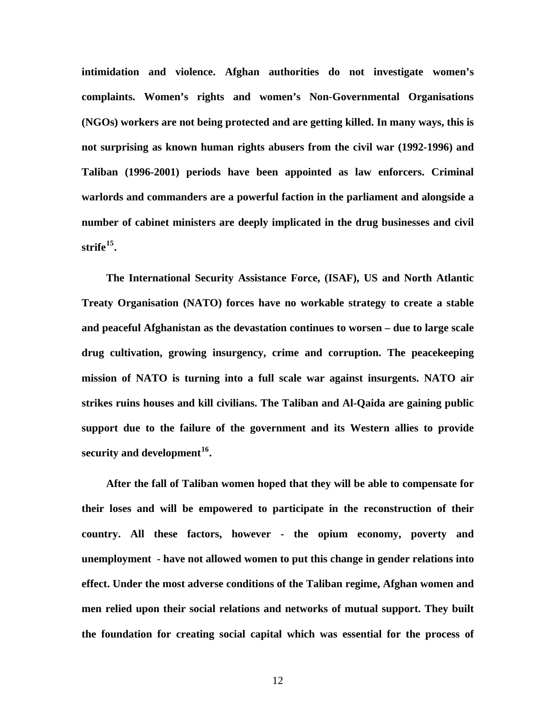**intimidation and violence. Afghan authorities do not investigate women's complaints. Women's rights and women's Non-Governmental Organisations (NGOs) workers are not being protected and are getting killed. In many ways, this is not surprising as known human rights abusers from the civil war (1992-1996) and Taliban (1996-2001) periods have been appointed as law enforcers. Criminal warlords and commanders are a powerful faction in the parliament and alongside a number of cabinet ministers are deeply implicated in the drug businesses and civil strife[15](#page-22-1).** 

**The International Security Assistance Force, (ISAF), US and North Atlantic Treaty Organisation (NATO) forces have no workable strategy to create a stable and peaceful Afghanistan as the devastation continues to worsen – due to large scale drug cultivation, growing insurgency, crime and corruption. The peacekeeping mission of NATO is turning into a full scale war against insurgents. NATO air strikes ruins houses and kill civilians. The Taliban and Al-Qaida are gaining public support due to the failure of the government and its Western allies to provide security and development[16](#page-22-1).** 

**After the fall of Taliban women hoped that they will be able to compensate for their loses and will be empowered to participate in the reconstruction of their country. All these factors, however - the opium economy, poverty and unemployment - have not allowed women to put this change in gender relations into effect. Under the most adverse conditions of the Taliban regime, Afghan women and men relied upon their social relations and networks of mutual support. They built the foundation for creating social capital which was essential for the process of**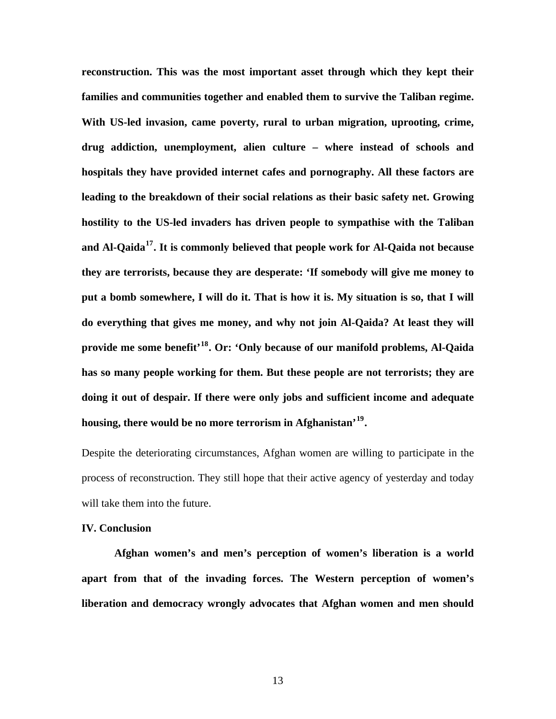**reconstruction. This was the most important asset through which they kept their families and communities together and enabled them to survive the Taliban regime. With US-led invasion, came poverty, rural to urban migration, uprooting, crime, drug addiction, unemployment, alien culture – where instead of schools and hospitals they have provided internet cafes and pornography. All these factors are leading to the breakdown of their social relations as their basic safety net. Growing hostility to the US-led invaders has driven people to sympathise with the Taliban and Al-Qaida[17](#page-22-1). It is commonly believed that people work for Al-Qaida not because they are terrorists, because they are desperate: 'If somebody will give me money to put a bomb somewhere, I will do it. That is how it is. My situation is so, that I will do everything that gives me money, and why not join Al-Qaida? At least they will provide me some benefit'[18](#page-22-1). Or: 'Only because of our manifold problems, Al-Qaida has so many people working for them. But these people are not terrorists; they are doing it out of despair. If there were only jobs and sufficient income and adequate housing, there would be no more terrorism in Afghanistan'[19](#page-22-1).** 

Despite the deteriorating circumstances, Afghan women are willing to participate in the process of reconstruction. They still hope that their active agency of yesterday and today will take them into the future.

#### **IV. Conclusion**

**Afghan women's and men's perception of women's liberation is a world apart from that of the invading forces. The Western perception of women's liberation and democracy wrongly advocates that Afghan women and men should**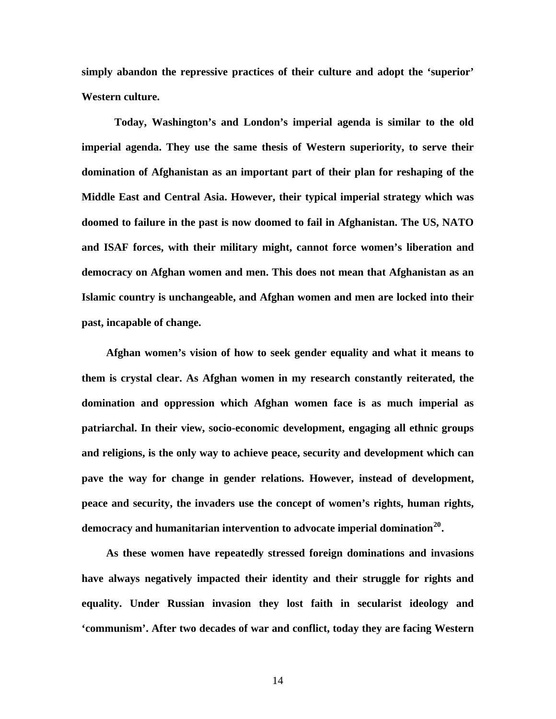**simply abandon the repressive practices of their culture and adopt the 'superior' Western culture.** 

**Today, Washington's and London's imperial agenda is similar to the old imperial agenda. They use the same thesis of Western superiority, to serve their domination of Afghanistan as an important part of their plan for reshaping of the Middle East and Central Asia. However, their typical imperial strategy which was doomed to failure in the past is now doomed to fail in Afghanistan. The US, NATO and ISAF forces, with their military might, cannot force women's liberation and democracy on Afghan women and men. This does not mean that Afghanistan as an Islamic country is unchangeable, and Afghan women and men are locked into their past, incapable of change.** 

**Afghan women's vision of how to seek gender equality and what it means to them is crystal clear. As Afghan women in my research constantly reiterated, the domination and oppression which Afghan women face is as much imperial as patriarchal. In their view, socio-economic development, engaging all ethnic groups and religions, is the only way to achieve peace, security and development which can pave the way for change in gender relations. However, instead of development, peace and security, the invaders use the concept of women's rights, human rights, democracy and humanitarian intervention to advocate imperial domination[20](#page-22-1).** 

**As these women have repeatedly stressed foreign dominations and invasions have always negatively impacted their identity and their struggle for rights and equality. Under Russian invasion they lost faith in secularist ideology and 'communism'. After two decades of war and conflict, today they are facing Western**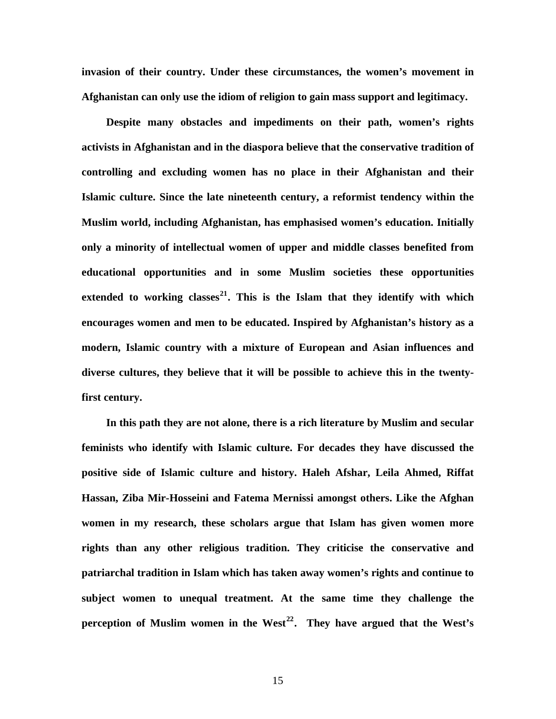**invasion of their country. Under these circumstances, the women's movement in Afghanistan can only use the idiom of religion to gain mass support and legitimacy.** 

**Despite many obstacles and impediments on their path, women's rights activists in Afghanistan and in the diaspora believe that the conservative tradition of controlling and excluding women has no place in their Afghanistan and their Islamic culture. Since the late nineteenth century, a reformist tendency within the Muslim world, including Afghanistan, has emphasised women's education. Initially only a minority of intellectual women of upper and middle classes benefited from educational opportunities and in some Muslim societies these opportunities extended to working classes[21](#page-22-1). This is the Islam that they identify with which encourages women and men to be educated. Inspired by Afghanistan's history as a modern, Islamic country with a mixture of European and Asian influences and diverse cultures, they believe that it will be possible to achieve this in the twentyfirst century.** 

**In this path they are not alone, there is a rich literature by Muslim and secular feminists who identify with Islamic culture. For decades they have discussed the positive side of Islamic culture and history. Haleh Afshar, Leila Ahmed, Riffat Hassan, Ziba Mir-Hosseini and Fatema Mernissi amongst others. Like the Afghan women in my research, these scholars argue that Islam has given women more rights than any other religious tradition. They criticise the conservative and patriarchal tradition in Islam which has taken away women's rights and continue to subject women to unequal treatment. At the same time they challenge the perception of Muslim women in the West[22](#page-22-1). They have argued that the West's**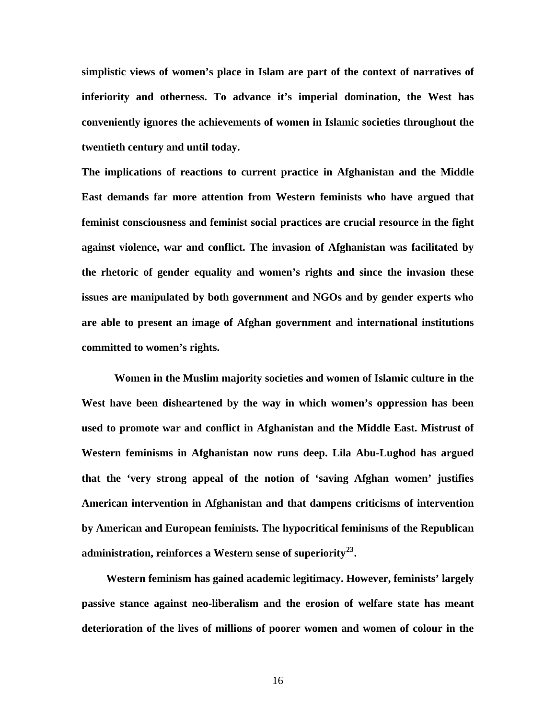**simplistic views of women's place in Islam are part of the context of narratives of inferiority and otherness. To advance it's imperial domination, the West has conveniently ignores the achievements of women in Islamic societies throughout the twentieth century and until today.** 

**The implications of reactions to current practice in Afghanistan and the Middle East demands far more attention from Western feminists who have argued that feminist consciousness and feminist social practices are crucial resource in the fight against violence, war and conflict. The invasion of Afghanistan was facilitated by the rhetoric of gender equality and women's rights and since the invasion these issues are manipulated by both government and NGOs and by gender experts who are able to present an image of Afghan government and international institutions committed to women's rights.** 

**Women in the Muslim majority societies and women of Islamic culture in the West have been disheartened by the way in which women's oppression has been used to promote war and conflict in Afghanistan and the Middle East. Mistrust of Western feminisms in Afghanistan now runs deep. Lila Abu-Lughod has argued that the 'very strong appeal of the notion of 'saving Afghan women' justifies American intervention in Afghanistan and that dampens criticisms of intervention by American and European feminists. The hypocritical feminisms of the Republican administration, reinforces a Western sense of superiority[23](#page-22-1).** 

**Western feminism has gained academic legitimacy. However, feminists' largely passive stance against neo-liberalism and the erosion of welfare state has meant deterioration of the lives of millions of poorer women and women of colour in the**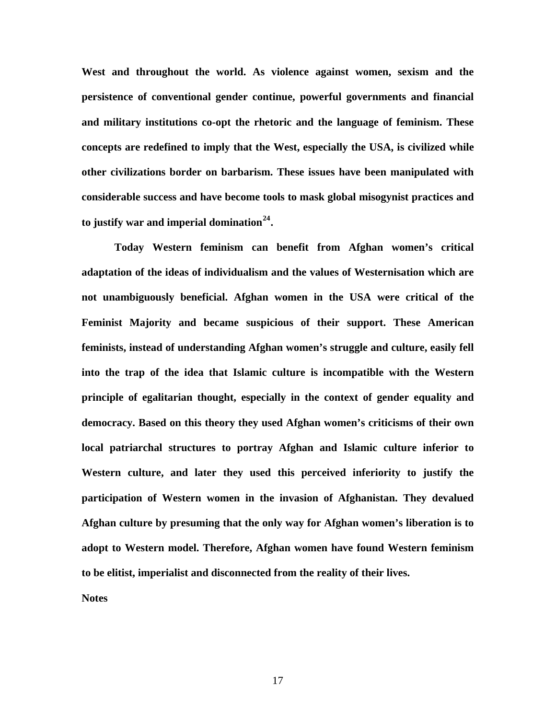**West and throughout the world. As violence against women, sexism and the persistence of conventional gender continue, powerful governments and financial and military institutions co-opt the rhetoric and the language of feminism. These concepts are redefined to imply that the West, especially the USA, is civilized while other civilizations border on barbarism. These issues have been manipulated with considerable success and have become tools to mask global misogynist practices and to justify war and imperial domination[24](#page-22-1).** 

**Today Western feminism can benefit from Afghan women's critical adaptation of the ideas of individualism and the values of Westernisation which are not unambiguously beneficial. Afghan women in the USA were critical of the Feminist Majority and became suspicious of their support. These American feminists, instead of understanding Afghan women's struggle and culture, easily fell into the trap of the idea that Islamic culture is incompatible with the Western principle of egalitarian thought, especially in the context of gender equality and democracy. Based on this theory they used Afghan women's criticisms of their own local patriarchal structures to portray Afghan and Islamic culture inferior to Western culture, and later they used this perceived inferiority to justify the participation of Western women in the invasion of Afghanistan. They devalued Afghan culture by presuming that the only way for Afghan women's liberation is to adopt to Western model. Therefore, Afghan women have found Western feminism to be elitist, imperialist and disconnected from the reality of their lives.** 

**Notes**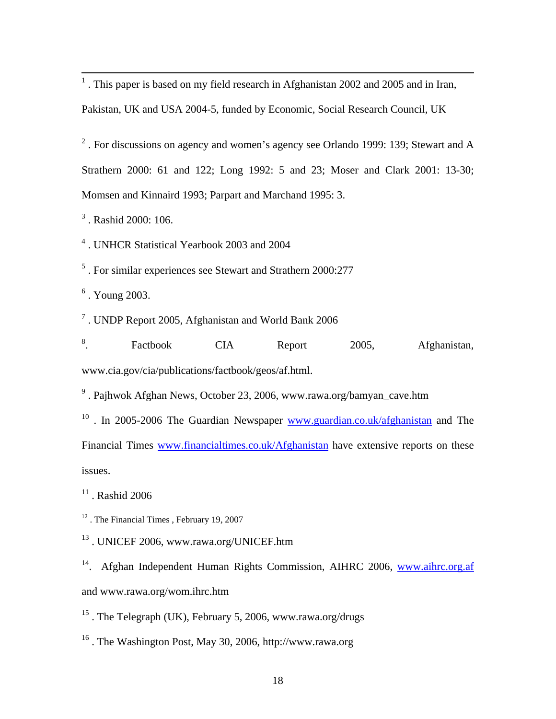<sup>1</sup>. This paper is based on my field research in Afghanistan 2002 and 2005 and in Iran,

Pakistan, UK and USA 2004-5, funded by Economic, Social Research Council, UK

<sup>2</sup>. For discussions on agency and women's agency see Orlando 1999: 139; Stewart and A Strathern 2000: 61 and 122; Long 1992: 5 and 23; Moser and Clark 2001: 13-30; Momsen and Kinnaird 1993; Parpart and Marchand 1995: 3.

3 . Rashid 2000: 106.

4 . UNHCR Statistical Yearbook 2003 and 2004

<sup>5</sup>. For similar experiences see Stewart and Strathern 2000:277

 $<sup>6</sup>$ . Young 2003.</sup>

<sup>7</sup>. UNDP Report 2005, Afghanistan and World Bank 2006

8 . Factbook CIA Report 2005, Afghanistan, www.cia.gov/cia/publications/factbook/geos/af.html.

<sup>9</sup>. Pajhwok Afghan News, October 23, 2006, www.rawa.org/bamyan\_cave.htm

<sup>10</sup>. In 2005-2006 The Guardian Newspaper [www.guardian.co.uk/afghanistan](http://www.guardian.co.uk/afghanistan) and The Financial Times [www.financialtimes.co.uk/Afghanistan](http://www.financialtimes.co.uk/Afghanistan) have extensive reports on these issues.

 $11$ . Rashid 2006

<sup>12</sup>. The Financial Times, February 19, 2007

13 . UNICEF 2006, www.rawa.org/UNICEF.htm

<sup>14</sup>. Afghan Independent Human Rights Commission, AIHRC 2006, [www.aihrc.org.af](http://www.aihrc.org.af/) and www.rawa.org/wom.ihrc.htm

<sup>15</sup>. The Telegraph (UK), February 5, 2006, www.rawa.org/drugs

16 . The Washington Post, May 30, 2006, http://www.rawa.org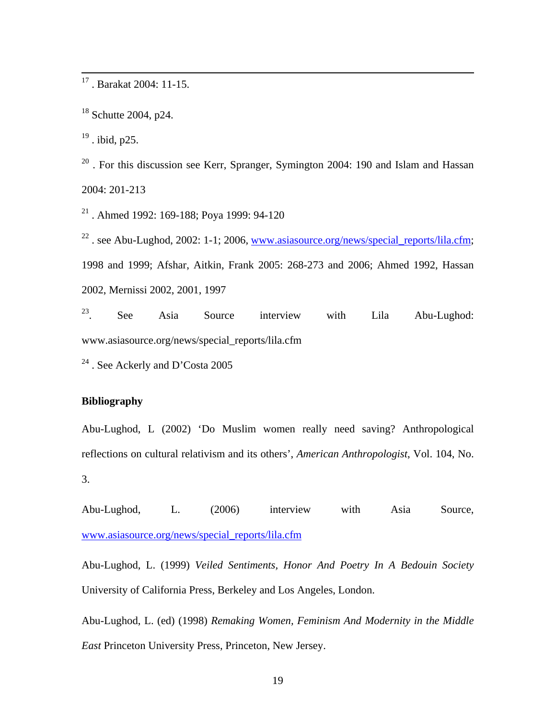17 . Barakat 2004: 11-15.

 $18$  Schutte 2004, p24.

<sup>19</sup>. ibid, p25.

 $20$ . For this discussion see Kerr, Spranger, Symington 2004: 190 and Islam and Hassan 2004: 201-213

21 . Ahmed 1992: 169-188; Poya 1999: 94-120

<sup>22</sup>. see Abu-Lughod, 2002: 1-1; 2006, [www.asiasource.org/news/special\\_reports/lila.cfm;](http://www.asiasource.org/news/special_reports/lila.cfm) 1998 and 1999; Afshar, Aitkin, Frank 2005: 268-273 and 2006; Ahmed 1992, Hassan 2002, Mernissi 2002, 2001, 1997

23. See Asia Source interview with Lila Abu-Lughod: www.asiasource.org/news/special\_reports/lila.cfm

<sup>24</sup> . See Ackerly and D'Costa 2005

## **Bibliography**

Abu-Lughod, L (2002) 'Do Muslim women really need saving? Anthropological reflections on cultural relativism and its others', *American Anthropologist*, Vol. 104, No. 3.

Abu-Lughod, L. (2006) interview with Asia Source, [www.asiasource.org/news/special\\_reports/lila.cfm](http://www.asiasource.org/news/special_reports/lila.cfm)

Abu-Lughod, L. (1999) *Veiled Sentiments, Honor And Poetry In A Bedouin Society*  University of California Press, Berkeley and Los Angeles, London.

Abu-Lughod, L. (ed) (1998) *Remaking Women, Feminism And Modernity in the Middle East* Princeton University Press, Princeton, New Jersey.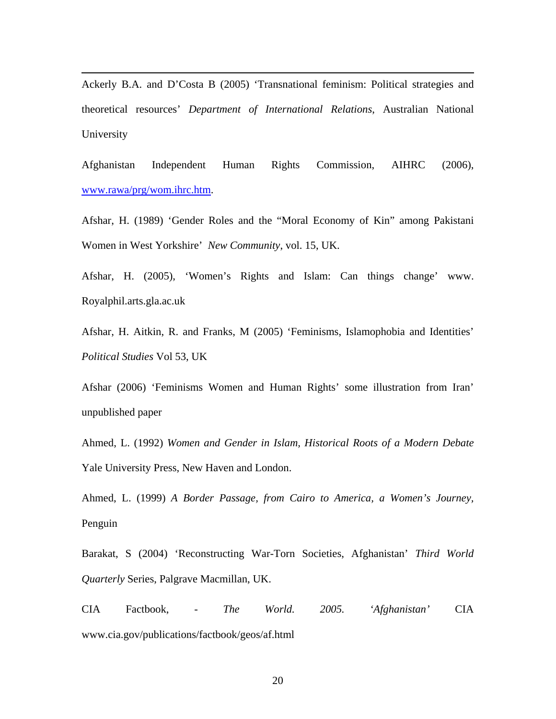Ackerly B.A. and D'Costa B (2005) 'Transnational feminism: Political strategies and theoretical resources' *Department of International Relations*, Australian National University

 $\overline{a}$ 

Afghanistan Independent Human Rights Commission, AIHRC (2006), [www.rawa/prg/wom.ihrc.htm](http://www.rawa/prg/wom.ihrc.htm).

Afshar, H. (1989) 'Gender Roles and the "Moral Economy of Kin" among Pakistani Women in West Yorkshire' *New Community*, vol. 15, UK.

Afshar, H. (2005), 'Women's Rights and Islam: Can things change' www. Royalphil.arts.gla.ac.uk

Afshar, H. Aitkin, R. and Franks, M (2005) 'Feminisms, Islamophobia and Identities' *Political Studies* Vol 53, UK

Afshar (2006) 'Feminisms Women and Human Rights' some illustration from Iran' unpublished paper

Ahmed, L. (1992) *Women and Gender in Islam, Historical Roots of a Modern Debate* Yale University Press, New Haven and London.

Ahmed, L. (1999) *A Border Passage, from Cairo to America, a Women's Journey,*  Penguin

Barakat, S (2004) 'Reconstructing War-Torn Societies, Afghanistan' *Third World Quarterly* Series, Palgrave Macmillan, UK.

CIA Factbook, *- The World. 2005. 'Afghanistan'* CIA www.cia.gov/publications/factbook/geos/af.html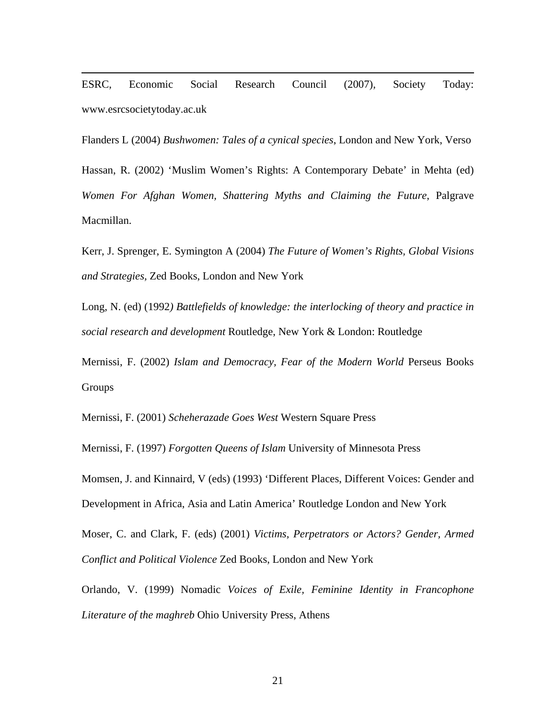ESRC, Economic Social Research Council (2007), Society Today: www.esrcsocietytoday.ac.uk

 $\overline{a}$ 

Flanders L (2004) *Bushwomen: Tales of a cynical species*, London and New York, Verso

Hassan, R. (2002) 'Muslim Women's Rights: A Contemporary Debate' in Mehta (ed) *Women For Afghan Women, Shattering Myths and Claiming the Future*, Palgrave Macmillan.

Kerr, J. Sprenger, E. Symington A (2004) *The Future of Women's Rights, Global Visions and Strategies,* Zed Books, London and New York

Long, N. (ed) (1992*) Battlefields of knowledge: the interlocking of theory and practice in social research and development* Routledge, New York & London: Routledge

Mernissi, F. (2002) *Islam and Democracy, Fear of the Modern World* Perseus Books **Groups** 

Mernissi, F. (2001) *Scheherazade Goes West* Western Square Press

Mernissi, F. (1997) *Forgotten Queens of Islam* University of Minnesota Press

Momsen, J. and Kinnaird, V (eds) (1993) 'Different Places, Different Voices: Gender and Development in Africa, Asia and Latin America' Routledge London and New York

Moser, C. and Clark, F. (eds) (2001) *Victims, Perpetrators or Actors? Gender, Armed Conflict and Political Violence* Zed Books, London and New York

Orlando, V. (1999) Nomadic *Voices of Exile, Feminine Identity in Francophone Literature of the maghreb* Ohio University Press, Athens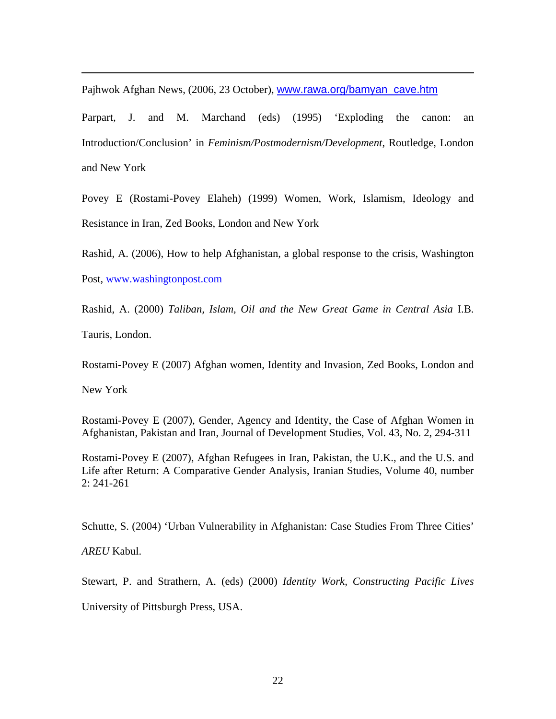Pajhwok Afghan News, (2006, 23 October), [www.rawa.org/bamyan\\_cave.htm](http://www.rawa.org/bamyan_cave.htm)

Parpart, J. and M. Marchand (eds) (1995) 'Exploding the canon: an Introduction/Conclusion' in *Feminism/Postmodernism/Development*, Routledge, London and New York

Povey E (Rostami-Povey Elaheh) (1999) Women, Work, Islamism, Ideology and Resistance in Iran, Zed Books, London and New York

Rashid, A. (2006), How to help Afghanistan, a global response to the crisis, Washington Post, [www.washingtonpost.com](http://www.washingtonpost.com/)

Rashid, A. (2000) *Taliban, Islam, Oil and the New Great Game in Central Asia* I.B. Tauris, London.

Rostami-Povey E (2007) Afghan women, Identity and Invasion, Zed Books, London and

New York

 $\overline{a}$ 

Rostami-Povey E (2007), Gender, Agency and Identity, the Case of Afghan Women in Afghanistan, Pakistan and Iran, Journal of Development Studies, Vol. 43, No. 2, 294-311

Rostami-Povey E (2007), Afghan Refugees in Iran, Pakistan, the U.K., and the U.S. and Life after Return: A Comparative Gender Analysis, Iranian Studies, Volume 40, number 2: 241-261

Schutte, S. (2004) 'Urban Vulnerability in Afghanistan: Case Studies From Three Cities'

*AREU* Kabul.

Stewart, P. and Strathern, A. (eds) (2000) *Identity Work, Constructing Pacific Lives* University of Pittsburgh Press, USA.